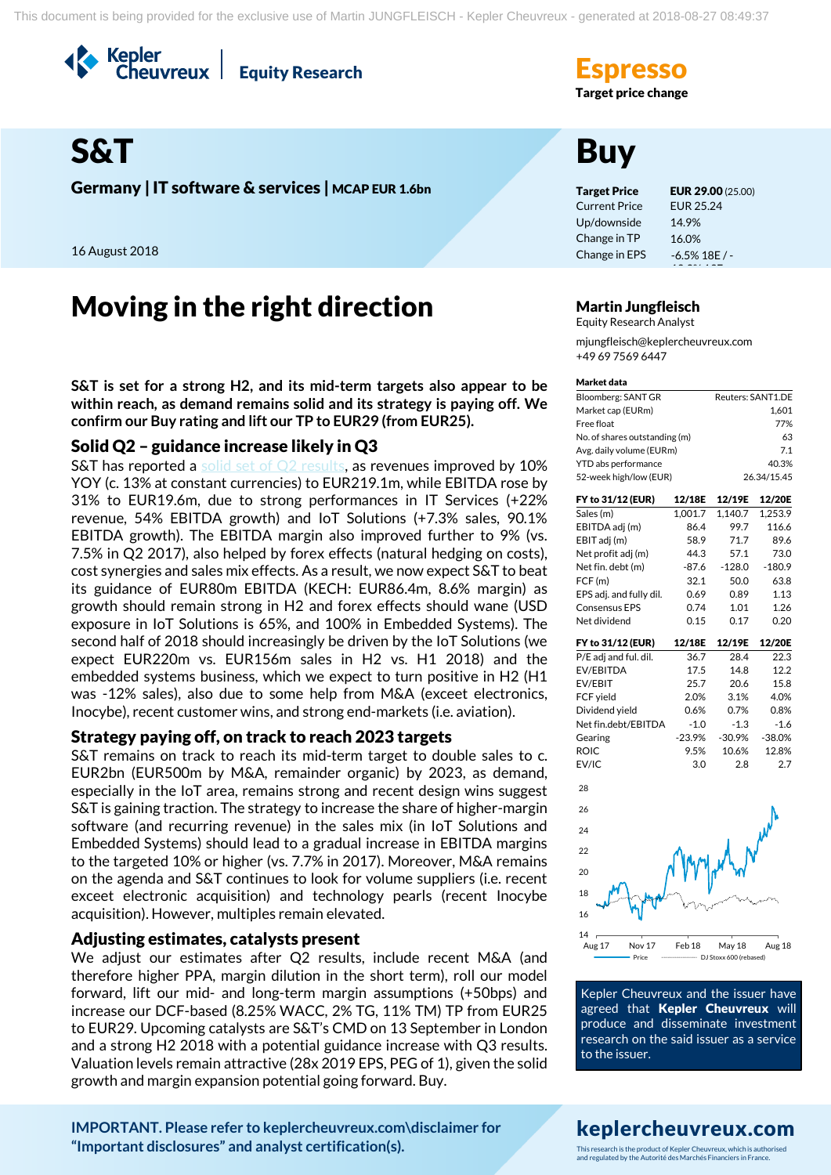Kepler<br>Cheuvreux **Equity Research** 



Germany | IT software & services | MCAP EUR 1.6bn Target Price EUR 29.00 (25.00)

16 August 2018

# Moving in the right direction Martin Jungfleisch

**S&T is set for a strong H2, and its mid-term targets also appear to be within reach, as demand remains solid and its strategy is paying off. We confirm our Buy rating and lift our TP to EUR29 (from EUR25).**

# Solid Q2 – guidance increase likely in Q3

S&T has reported a [solid set of Q2 results,](https://research.keplercheuvreux.com/be/kepler-file/document?file=EQECR_611513.pdf&id=d354dc27-6adf-11e6-ae98-3c4a92ec2f10) as revenues improved by 10% YOY (c. 13% at constant currencies) to EUR219.1m, while EBITDA rose by 31% to EUR19.6m, due to strong performances in IT Services (+22% revenue, 54% EBITDA growth) and IoT Solutions (+7.3% sales, 90.1% EBITDA growth). The EBITDA margin also improved further to 9% (vs. 7.5% in Q2 2017), also helped by forex effects (natural hedging on costs), cost synergies and sales mix effects. As a result, we now expect S&T to beat its guidance of EUR80m EBITDA (KECH: EUR86.4m, 8.6% margin) as growth should remain strong in H2 and forex effects should wane (USD exposure in IoT Solutions is 65%, and 100% in Embedded Systems). The second half of 2018 should increasingly be driven by the IoT Solutions (we expect EUR220m vs. EUR156m sales in H2 vs. H1 2018) and the embedded systems business, which we expect to turn positive in H2 (H1 was -12% sales), also due to some help from M&A (exceet electronics, Inocybe), recent customer wins, and strong end-markets (i.e. aviation).

# Strategy paying off, on track to reach 2023 targets

S&T remains on track to reach its mid-term target to double sales to c. EUR2bn (EUR500m by M&A, remainder organic) by 2023, as demand, especially in the IoT area, remains strong and recent design wins suggest S&T is gaining traction. The strategy to increase the share of higher-margin software (and recurring revenue) in the sales mix (in IoT Solutions and Embedded Systems) should lead to a gradual increase in EBITDA margins to the targeted 10% or higher (vs. 7.7% in 2017). Moreover, M&A remains on the agenda and S&T continues to look for volume suppliers (i.e. recent exceet electronic acquisition) and technology pearls (recent Inocybe acquisition). However, multiples remain elevated.

# Adjusting estimates, catalysts present

We adjust our estimates after Q2 results, include recent M&A (and therefore higher PPA, margin dilution in the short term), roll our model forward, lift our mid- and long-term margin assumptions (+50bps) and increase our DCF-based (8.25% WACC, 2% TG, 11% TM) TP from EUR25 to EUR29. Upcoming catalysts are S&T's CMD on 13 September in London and a strong H2 2018 with a potential guidance increase with Q3 results. Valuation levels remain attractive (28x 2019 EPS, PEG of 1), given the solid growth and margin expansion potential going forward. Buy.

**[IMPORTANT. Please refer to keplercheuvreux.com\disclaimer for](https://research.keplercheuvreux.com/ResearchCenter.aspx#/Disclosure)  ["Important disclosures" and analyst certification\(s\).](https://research.keplercheuvreux.com/ResearchCenter.aspx#/Disclosure)**

# **Target price change**

Current Price Up/downside Change in TP Change in EPS EUR 25.24 14.9% 16.0% -6.5% 18E / -

12.3% 19E

Equity Research Analyst

mjungfleisch@keplercheuvreux.com +49 69 7569 6447

#### Market data

| Bloomberg: SANT GR            | Reuters: SANT1.DE |
|-------------------------------|-------------------|
| Market cap (EURm)             | 1.601             |
| Free float                    | 77%               |
| No. of shares outstanding (m) | 63                |
| Avg. daily volume (EURm)      | 71                |
| YTD abs performance           | 40.3%             |
| 52-week high/low (EUR)        | 26.34/15.45       |
|                               |                   |

| FY to 31/12 (EUR)       | 12/18E   | 12/19E   | 12/20E   |
|-------------------------|----------|----------|----------|
| Sales (m)               | 1.001.7  | 1,140.7  | 1,253.9  |
| EBITDA adj (m)          | 86.4     | 99.7     | 116.6    |
| EBIT adj (m)            | 58.9     | 71.7     | 89.6     |
| Net profit adj (m)      | 44.3     | 57.1     | 73.0     |
| Net fin. debt (m)       | $-87.6$  | $-128.0$ | $-180.9$ |
| FCF(m)                  | 32.1     | 50.0     | 63.8     |
| EPS adj. and fully dil. | 0.69     | 0.89     | 1.13     |
| <b>Consensus EPS</b>    | 0.74     | 1.01     | 1.26     |
| Net dividend            | 0.15     | 0.17     | 0.20     |
|                         |          |          |          |
| FY to 31/12 (EUR)       | 12/18E   | 12/19E   | 12/20E   |
| P/E adj and ful. dil.   | 36.7     | 28.4     | 22.3     |
| EV/EBITDA               | 17.5     | 14.8     | 12.2     |
| EV/EBIT                 | 25.7     | 20.6     | 15.8     |
| FCF yield               | 2.0%     | 3.1%     | 4.0%     |
| Dividend yield          | 0.6%     | 0.7%     | 0.8%     |
| Net fin.debt/EBITDA     | $-1.0$   | $-1.3$   | $-1.6$   |
| Gearing                 | $-23.9%$ | $-30.9%$ | $-38.0%$ |
| <b>ROIC</b>             | 9.5%     | 10.6%    | 12.8%    |



Kepler Cheuvreux and the issuer have agreed that Kepler Cheuvreux will produce and disseminate investment research on the said issuer as a service to the issuer.

# keplercheuvreux.com

This research is the product of Kepler Cheuvreux, which is authorised and regulated by the Autorité des Marchés Financiers in France.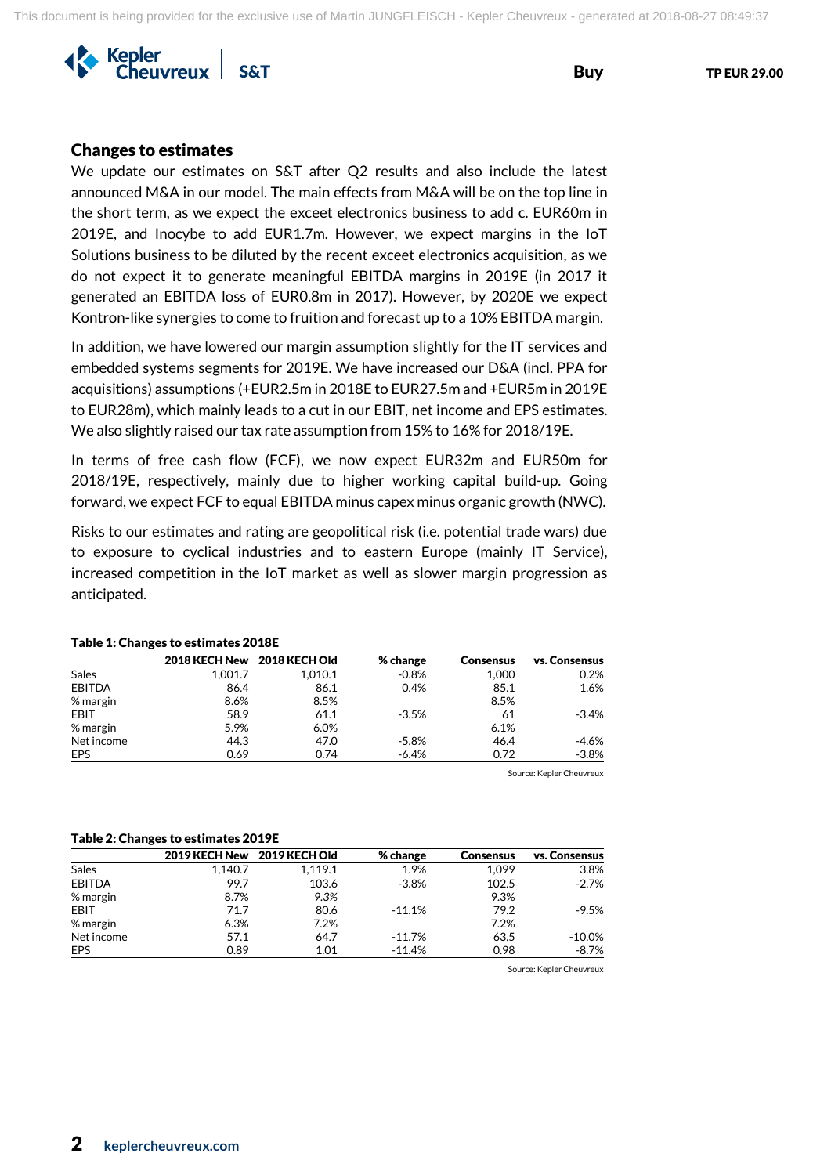

# Changes to estimates

We update our estimates on S&T after Q2 results and also include the latest announced M&A in our model. The main effects from M&A will be on the top line in the short term, as we expect the exceet electronics business to add c. EUR60m in 2019E, and Inocybe to add EUR1.7m. However, we expect margins in the IoT Solutions business to be diluted by the recent exceet electronics acquisition, as we do not expect it to generate meaningful EBITDA margins in 2019E (in 2017 it generated an EBITDA loss of EUR0.8m in 2017). However, by 2020E we expect Kontron-like synergies to come to fruition and forecast up to a 10% EBITDA margin.

In addition, we have lowered our margin assumption slightly for the IT services and embedded systems segments for 2019E. We have increased our D&A (incl. PPA for acquisitions) assumptions (+EUR2.5m in 2018E to EUR27.5m and +EUR5m in 2019E to EUR28m), which mainly leads to a cut in our EBIT, net income and EPS estimates. We also slightly raised our tax rate assumption from 15% to 16% for 2018/19E.

In terms of free cash flow (FCF), we now expect EUR32m and EUR50m for 2018/19E, respectively, mainly due to higher working capital build-up. Going forward, we expect FCF to equal EBITDA minus capex minus organic growth (NWC).

Risks to our estimates and rating are geopolitical risk (i.e. potential trade wars) due to exposure to cyclical industries and to eastern Europe (mainly IT Service), increased competition in the IoT market as well as slower margin progression as anticipated.

| Table 1. Changes to estimates 2016E |                             |         |          |                  |               |  |  |
|-------------------------------------|-----------------------------|---------|----------|------------------|---------------|--|--|
|                                     | 2018 KECH New 2018 KECH Old |         | % change | <b>Consensus</b> | vs. Consensus |  |  |
| <b>Sales</b>                        | 1.001.7                     | 1.010.1 | $-0.8%$  | 1.000            | 0.2%          |  |  |
| <b>EBITDA</b>                       | 86.4                        | 86.1    | 0.4%     | 85.1             | 1.6%          |  |  |
| % margin                            | 8.6%                        | 8.5%    |          | 8.5%             |               |  |  |
| <b>EBIT</b>                         | 58.9                        | 61.1    | $-3.5%$  | 61               | $-3.4%$       |  |  |
| % margin                            | 5.9%                        | $6.0\%$ |          | 6.1%             |               |  |  |
| Net income                          | 44.3                        | 47.0    | $-5.8%$  | 46.4             | $-4.6%$       |  |  |
| <b>EPS</b>                          | 0.69                        | 0.74    | $-6.4%$  | 0.72             | $-3.8%$       |  |  |

### Table 1: Changes to estimates 2018E

Source: Kepler Cheuvreux

### Table 2: Changes to estimates 2019E

|               | 2019 KECH New 2019 KECH Old |         | % change  | <b>Consensus</b> | vs. Consensus |
|---------------|-----------------------------|---------|-----------|------------------|---------------|
| <b>Sales</b>  | 1.140.7                     | 1,119.1 | 1.9%      | 1.099            | 3.8%          |
| <b>EBITDA</b> | 99.7                        | 103.6   | $-3.8%$   | 102.5            | $-2.7%$       |
| % margin      | 8.7%                        | 9.3%    |           | 9.3%             |               |
| EBIT          | 71.7                        | 80.6    | $-11.1%$  | 79.2             | $-9.5%$       |
| % margin      | 6.3%                        | 7.2%    |           | 7.2%             |               |
| Net income    | 57.1                        | 64.7    | $-11.7\%$ | 63.5             | $-10.0%$      |
| EPS           | 0.89                        | 1.01    | $-11.4%$  | 0.98             | $-8.7%$       |

Source: Kepler Cheuvreux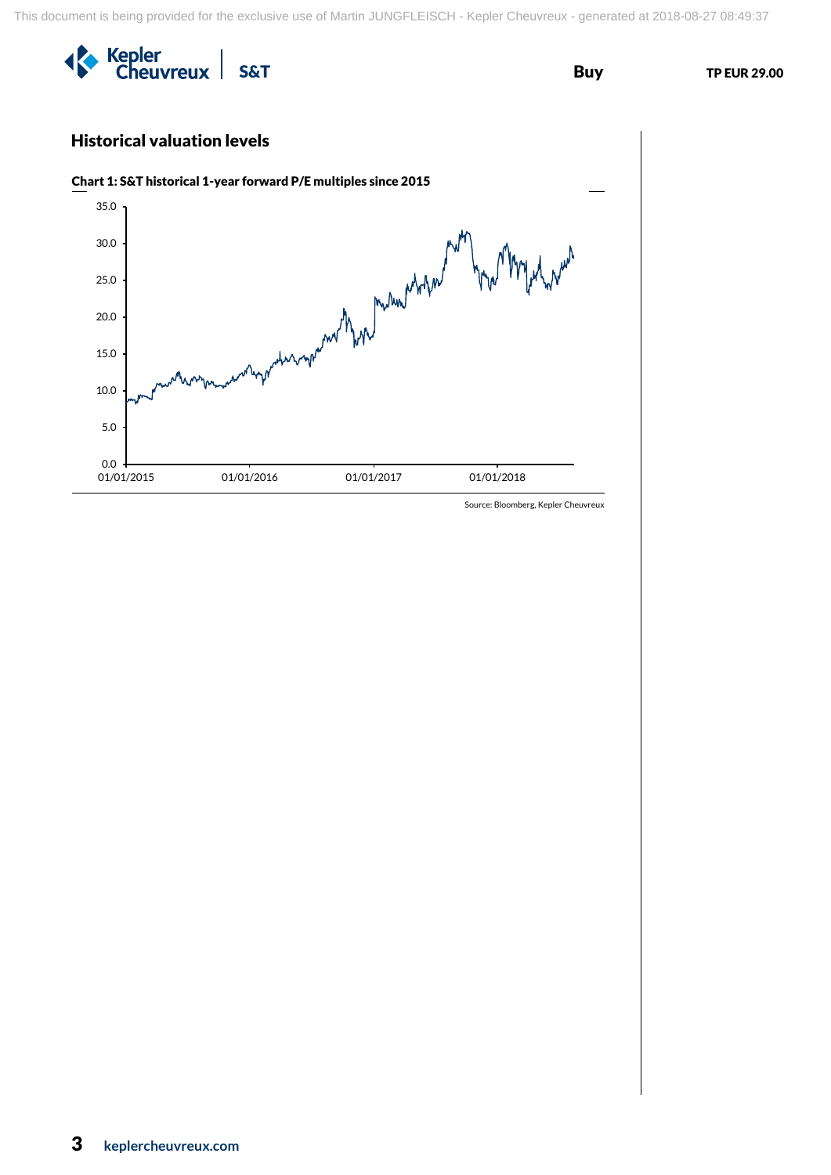



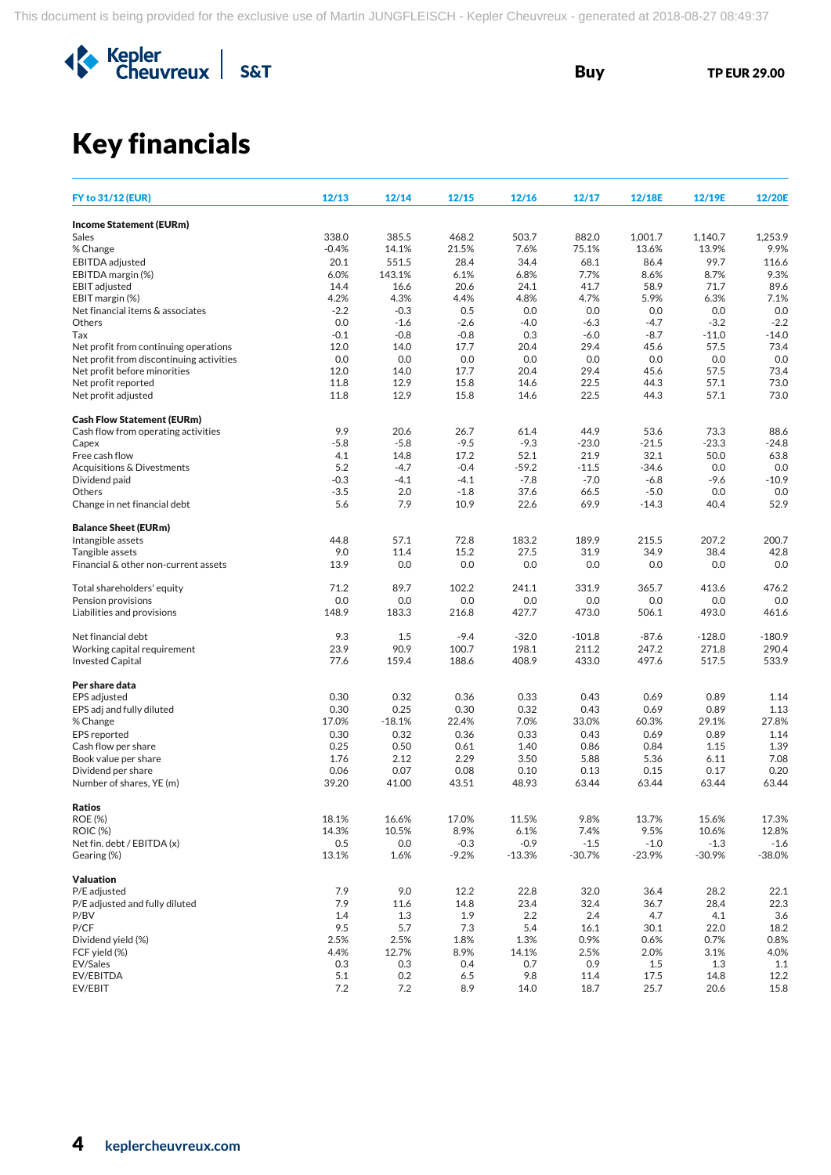

# Key financials

| <b>FY to 31/12 (EUR)</b>                                                          | 12/13          | 12/14          | 12/15          | 12/16          | 12/17          | 12/18E         | 12/19E          | 12/20E          |
|-----------------------------------------------------------------------------------|----------------|----------------|----------------|----------------|----------------|----------------|-----------------|-----------------|
| <b>Income Statement (EURm)</b>                                                    |                |                |                |                |                |                |                 |                 |
| Sales                                                                             | 338.0          | 385.5          | 468.2          | 503.7          | 882.0          | 1,001.7        | 1.140.7         | 1,253.9         |
| % Change                                                                          | $-0.4%$        | 14.1%          | 21.5%          | 7.6%           | 75.1%          | 13.6%          | 13.9%           | 9.9%            |
| <b>EBITDA</b> adjusted                                                            | 20.1           | 551.5          | 28.4           | 34.4           | 68.1           | 86.4           | 99.7            | 116.6           |
| EBITDA margin (%)                                                                 | 6.0%           | 143.1%         | 6.1%           | 6.8%           | 7.7%           | 8.6%           | 8.7%            | 9.3%            |
| <b>EBIT</b> adjusted                                                              | 14.4           | 16.6           | 20.6           | 24.1           | 41.7           | 58.9           | 71.7            | 89.6            |
| EBIT margin (%)                                                                   | 4.2%           | 4.3%           | 4.4%           | 4.8%           | 4.7%           | 5.9%           | 6.3%            | 7.1%            |
| Net financial items & associates                                                  | $-2.2$         | $-0.3$         | 0.5            | 0.0            | 0.0            | 0.0            | 0.0             | 0.0             |
| Others                                                                            | 0.0            | $-1.6$         | $-2.6$         | $-4.0$         | $-6.3$         | $-4.7$         | $-3.2$          | $-2.2$          |
| Tax                                                                               | $-0.1$<br>12.0 | $-0.8$<br>14.0 | $-0.8$<br>17.7 | 0.3<br>20.4    | $-6.0$<br>29.4 | -8.7<br>45.6   | $-11.0$<br>57.5 | $-14.0$<br>73.4 |
| Net profit from continuing operations<br>Net profit from discontinuing activities | 0.0            | 0.0            | 0.0            | 0.0            | 0.0            | 0.0            | 0.0             | 0.0             |
| Net profit before minorities                                                      | 12.0           | 14.0           | 17.7           | 20.4           | 29.4           | 45.6           | 57.5            | 73.4            |
| Net profit reported                                                               | 11.8           | 12.9           | 15.8           | 14.6           | 22.5           | 44.3           | 57.1            | 73.0            |
| Net profit adjusted                                                               | 11.8           | 12.9           | 15.8           | 14.6           | 22.5           | 44.3           | 57.1            | 73.0            |
| <b>Cash Flow Statement (EURm)</b>                                                 |                |                |                |                |                |                |                 |                 |
| Cash flow from operating activities                                               | 9.9            | 20.6           | 26.7           | 61.4           | 44.9           | 53.6           | 73.3            | 88.6            |
| Capex                                                                             | $-5.8$         | $-5.8$         | $-9.5$         | $-9.3$         | $-23.0$        | $-21.5$        | $-23.3$         | $-24.8$         |
| Free cash flow                                                                    | 4.1            | 14.8           | 17.2           | 52.1           | 21.9           | 32.1           | 50.0            | 63.8            |
| Acquisitions & Divestments                                                        | 5.2            | $-4.7$         | $-0.4$         | $-59.2$        | $-11.5$        | $-34.6$        | 0.0             | 0.0             |
| Dividend paid                                                                     | $-0.3$         | $-4.1$         | $-4.1$         | $-7.8$         | $-7.0$         | $-6.8$         | $-9.6$          | $-10.9$         |
| Others                                                                            | $-3.5$         | 2.0            | $-1.8$         | 37.6           | 66.5           | $-5.0$         | 0.0             | 0.0             |
| Change in net financial debt                                                      | 5.6            | 7.9            | 10.9           | 22.6           | 69.9           | $-14.3$        | 40.4            | 52.9            |
| <b>Balance Sheet (EURm)</b>                                                       |                |                |                |                |                |                |                 |                 |
| Intangible assets                                                                 | 44.8           | 57.1           | 72.8           | 183.2          | 189.9          | 215.5          | 207.2           | 200.7           |
| Tangible assets                                                                   | 9.0            | 11.4           | 15.2           | 27.5           | 31.9           | 34.9           | 38.4            | 42.8            |
| Financial & other non-current assets                                              | 13.9           | 0.0            | 0.0            | 0.0            | 0.0            | 0.0            | 0.0             | 0.0             |
| Total shareholders' equity                                                        | 71.2           | 89.7           | 102.2          | 241.1          | 331.9          | 365.7          | 413.6           | 476.2           |
| Pension provisions                                                                | 0.0            | 0.0            | 0.0            | 0.0            | 0.0            | 0.0            | 0.0             | 0.0             |
| Liabilities and provisions                                                        | 148.9          | 183.3          | 216.8          | 427.7          | 473.0          | 506.1          | 493.0           | 461.6           |
| Net financial debt                                                                | 9.3            | 1.5            | $-9.4$         | $-32.0$        | $-101.8$       | $-87.6$        | $-128.0$        | $-180.9$        |
| Working capital requirement                                                       | 23.9           | 90.9           | 100.7          | 198.1          | 211.2          | 247.2          | 271.8           | 290.4           |
| <b>Invested Capital</b>                                                           | 77.6           | 159.4          | 188.6          | 408.9          | 433.0          | 497.6          | 517.5           | 533.9           |
| Per share data                                                                    |                |                |                |                |                |                |                 |                 |
| <b>EPS</b> adjusted                                                               | 0.30           | 0.32           | 0.36           | 0.33           | 0.43           | 0.69           | 0.89            | 1.14            |
| EPS adj and fully diluted                                                         | 0.30           | 0.25           | 0.30           | 0.32           | 0.43           | 0.69           | 0.89            | 1.13            |
| % Change                                                                          | 17.0%          | $-18.1%$       | 22.4%          | 7.0%           | 33.0%          | 60.3%          | 29.1%           | 27.8%           |
| <b>EPS</b> reported                                                               | 0.30           | 0.32           | 0.36           | 0.33           | 0.43           | 0.69           | 0.89            | 1.14            |
| Cash flow per share                                                               | 0.25           | 0.50           | 0.61           | 1.40           | 0.86           | 0.84           | 1.15            | 1.39            |
| Book value per share                                                              | 1.76           | 2.12           | 2.29           | 3.50           | 5.88           | 5.36           | 6.11            | 7.08            |
| Dividend per share<br>Number of shares, YE (m)                                    | 0.06<br>39.20  | 0.07<br>41.00  | 0.08<br>43.51  | 0.10<br>48.93  | 0.13<br>63.44  | 0.15<br>63.44  | 0.17<br>63.44   | 0.20<br>63.44   |
|                                                                                   |                |                |                |                |                |                |                 |                 |
| Ratios<br><b>ROE (%)</b>                                                          |                | 16.6%          |                |                |                | 13.7%          |                 |                 |
|                                                                                   | 18.1%          |                | 17.0%          | 11.5%          | 9.8%           |                | 15.6%           | 17.3%           |
| <b>ROIC (%)</b><br>Net fin. debt / EBITDA (x)                                     | 14.3%<br>0.5   | 10.5%<br>0.0   | 8.9%<br>$-0.3$ | 6.1%<br>$-0.9$ | 7.4%<br>$-1.5$ | 9.5%<br>$-1.0$ | 10.6%<br>$-1.3$ | 12.8%<br>$-1.6$ |
| Gearing (%)                                                                       | 13.1%          | 1.6%           | $-9.2%$        | $-13.3%$       | $-30.7%$       | $-23.9%$       | $-30.9%$        | $-38.0%$        |
| Valuation                                                                         |                |                |                |                |                |                |                 |                 |
| P/E adjusted                                                                      | 7.9            | 9.0            | 12.2           | 22.8           | 32.0           | 36.4           | 28.2            | 22.1            |
| P/E adjusted and fully diluted                                                    | 7.9            | 11.6           | 14.8           | 23.4           | 32.4           | 36.7           | 28.4            | 22.3            |
| P/BV                                                                              | 1.4            | 1.3            | 1.9            | 2.2            | 2.4            | 4.7            | 4.1             | 3.6             |
| P/CF                                                                              | 9.5            | 5.7            | 7.3            | 5.4            | 16.1           | 30.1           | 22.0            | 18.2            |
| Dividend yield (%)                                                                | 2.5%           | 2.5%           | 1.8%           | 1.3%           | 0.9%           | 0.6%           | 0.7%            | 0.8%            |
| FCF yield (%)                                                                     | 4.4%           | 12.7%          | 8.9%           | 14.1%          | 2.5%           | 2.0%           | 3.1%            | 4.0%            |
| EV/Sales                                                                          | 0.3            | 0.3            | 0.4            | 0.7            | 0.9            | 1.5            | 1.3             | 1.1             |
| EV/EBITDA                                                                         | 5.1            | 0.2            | 6.5            | 9.8            | 11.4           | 17.5           | 14.8            | 12.2            |
| EV/EBIT                                                                           | 7.2            | 7.2            | 8.9            | 14.0           | 18.7           | 25.7           | 20.6            | 15.8            |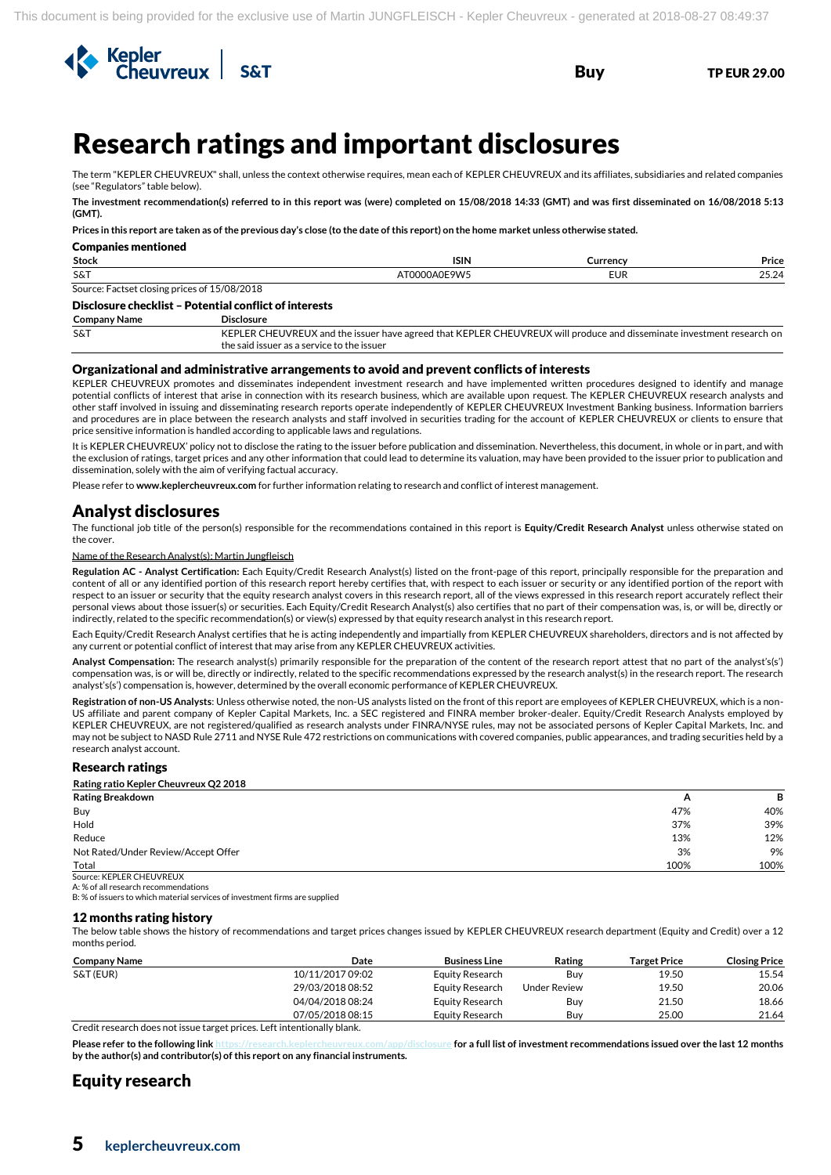

# <sup>5</sup>Research ratings and important disclosures

The term "KEPLER CHEUVREUX" shall, unless the context otherwise requires, mean each of KEPLER CHEUVREUX and its affiliates, subsidiaries and related companies (see "Regulators" table below).

**The investment recommendation(s) referred to in this report was (were) completed on 15/08/2018 14:33 (GMT) and was first disseminated on 16/08/2018 5:13 (GMT).**

**Prices in this report are taken as of the previous day's close (to the date of this report) on the home market unless otherwise stated.**

#### Companies mentioned

| <b>Stock</b>                                                                     | <b>ISIN</b>                  | Lurrencv | Price                  |
|----------------------------------------------------------------------------------|------------------------------|----------|------------------------|
| S&T                                                                              | יומוט<br>$\mathbf{v}$<br>,,, | eur      | $\overline{A}$<br>2J.L |
| .5/09'<br>$\sim$<br>sour<br>una nrices of<br>71<br>10 I.U<br>a<br><b>CIU3118</b> |                              |          |                        |

#### Disclosure checklist – Potential conflict of interests

| <u> Disclosul e checklist - Potential commet of interests</u> |                                                                                                                                                                     |  |  |  |  |
|---------------------------------------------------------------|---------------------------------------------------------------------------------------------------------------------------------------------------------------------|--|--|--|--|
| Company Name                                                  | <b>Disclosure</b>                                                                                                                                                   |  |  |  |  |
| S&T                                                           | KEPLER CHEUVREUX and the issuer have agreed that KEPLER CHEUVREUX will produce and disseminate investment research on<br>the said issuer as a service to the issuer |  |  |  |  |
|                                                               |                                                                                                                                                                     |  |  |  |  |

#### Organizational and administrative arrangements to avoid and prevent conflicts of interests

KEPLER CHEUVREUX promotes and disseminates independent investment research and have implemented written procedures designed to identify and manage potential conflicts of interest that arise in connection with its research business, which are available upon request. The KEPLER CHEUVREUX research analysts and other staff involved in issuing and disseminating research reports operate independently of KEPLER CHEUVREUX Investment Banking business. Information barriers and procedures are in place between the research analysts and staff involved in securities trading for the account of KEPLER CHEUVREUX or clients to ensure that price sensitive information is handled according to applicable laws and regulations.

It is KEPLER CHEUVREUX' policy not to disclose the rating to the issuer before publication and dissemination. Nevertheless, this document, in whole or in part, and with the exclusion of ratings, target prices and any other information that could lead to determine its valuation, may have been provided to the issuer prior to publication and dissemination, solely with the aim of verifying factual accuracy.

Please refer to **www.keplercheuvreux.com** for further information relating to research and conflict of interest management.

### Analyst disclosures

The functional job title of the person(s) responsible for the recommendations contained in this report is **Equity/Credit Research Analyst** unless otherwise stated on the cover.

#### Name of the Research Analyst(s): Martin Jungfleisch

**Regulation AC - Analyst Certification:** Each Equity/Credit Research Analyst(s) listed on the front-page of this report, principally responsible for the preparation and content of all or any identified portion of this research report hereby certifies that, with respect to each issuer or security or any identified portion of the report with respect to an issuer or security that the equity research analyst covers in this research report, all of the views expressed in this research report accurately reflect their personal views about those issuer(s) or securities. Each Equity/Credit Research Analyst(s) also certifies that no part of their compensation was, is, or will be, directly or indirectly, related to the specific recommendation(s) or view(s) expressed by that equity research analyst in this research report.

Each Equity/Credit Research Analyst certifies that he is acting independently and impartially from KEPLER CHEUVREUX shareholders, directors and is not affected by any current or potential conflict of interest that may arise from any KEPLER CHEUVREUX activities.

**Analyst Compensation:** The research analyst(s) primarily responsible for the preparation of the content of the research report attest that no part of the analyst's(s') compensation was, is or will be, directly or indirectly, related to the specific recommendations expressed by the research analyst(s) in the research report. The research analyst's(s') compensation is, however, determined by the overall economic performance of KEPLER CHEUVREUX.

**Registration of non-US Analysts**: Unless otherwise noted, the non-US analysts listed on the front of this report are employees of KEPLER CHEUVREUX, which is a non-US affiliate and parent company of Kepler Capital Markets, Inc. a SEC registered and FINRA member broker-dealer. Equity/Credit Research Analysts employed by KEPLER CHEUVREUX, are not registered/qualified as research analysts under FINRA/NYSE rules, may not be associated persons of Kepler Capital Markets, Inc. and may not be subject to NASD Rule 2711 and NYSE Rule 472 restrictions on communications with covered companies, public appearances, and trading securities held by a research analyst account.

#### Research ratings

| Rating ratio Kepler Cheuvreux Q2 2018 |      |      |
|---------------------------------------|------|------|
| <b>Rating Breakdown</b>               | A    | в    |
| Buy                                   | 47%  | 40%  |
| Hold                                  | 37%  | 39%  |
| Reduce                                | 13%  | 12%  |
| Not Rated/Under Review/Accept Offer   | 3%   | 9%   |
| Total                                 | 100% | 100% |

Source: KEPLER CHEUVREUX A: % of all research recommendations

B: % of issuers to which material services of investment firms are supplied

#### 12 months rating history

The below table shows the history of recommendations and target prices changes issued by KEPLER CHEUVREUX research department (Equity and Credit) over a 12 months period.

| <b>Company Name</b> | Date             | <b>Business Line</b> | Rating       | Target Price | <b>Closing Price</b> |
|---------------------|------------------|----------------------|--------------|--------------|----------------------|
| S&T (EUR)           | 10/11/2017 09:02 | Equity Research      | Buv          | 19.50        | 15.54                |
|                     | 29/03/2018 08:52 | Eauity Research      | Under Review | 19.50        | 20.06                |
|                     | 04/04/2018 08:24 | Equity Research      | Buy          | 21.50        | 18.66                |
|                     | 07/05/2018 08:15 | Equity Research      | Buv          | 25.00        | 21.64                |
| $\sim$ $\sim$       | $\cdots$         |                      |              |              |                      |

Credit research does not issue target prices. Left intentionally blank.

**Please refer to the following lin[k https://research.keplercheuvreux.com/app/disclosure](https://research.keplercheuvreux.com/app/disclosure/stock/8466) for a full list of investment recommendations issued over the last 12 months by the author(s) and contributor(s) of this report on any financial instruments.**

# Equity research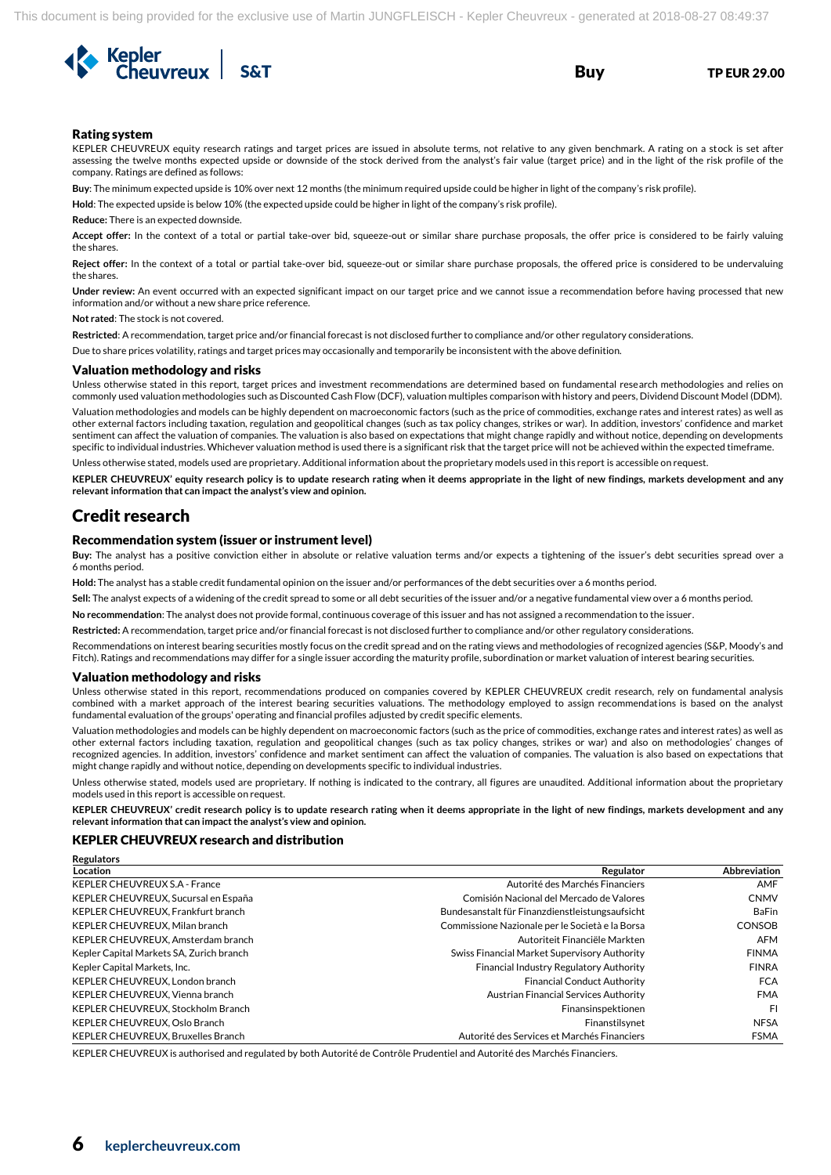

#### Rating system

KEPLER CHEUVREUX equity research ratings and target prices are issued in absolute terms, not relative to any given benchmark. A rating on a stock is set after assessing the twelve months expected upside or downside of the stock derived from the analyst's fair value (target price) and in the light of the risk profile of the company. Ratings are defined as follows:

**Buy**: The minimum expected upside is 10% over next 12 months (the minimum required upside could be higher in light of the company's risk profile).

**Hold**: The expected upside is below 10% (the expected upside could be higher in light of the company's risk profile).

**Reduce:** There is an expected downside.

**Accept offer:** In the context of a total or partial take-over bid, squeeze-out or similar share purchase proposals, the offer price is considered to be fairly valuing the shares.

**Reject offer:** In the context of a total or partial take-over bid, squeeze-out or similar share purchase proposals, the offered price is considered to be undervaluing the shares.

**Under review:** An event occurred with an expected significant impact on our target price and we cannot issue a recommendation before having processed that new information and/or without a new share price reference.

**Not rated**: The stock is not covered.

**Restricted**: A recommendation, target price and/or financial forecast is not disclosed further to compliance and/or other regulatory considerations.

Due to share prices volatility, ratings and target prices may occasionally and temporarily be inconsistent with the above definition.

#### Valuation methodology and risks

Unless otherwise stated in this report, target prices and investment recommendations are determined based on fundamental research methodologies and relies on commonly used valuation methodologies such as Discounted Cash Flow (DCF), valuation multiples comparison with history and peers, Dividend Discount Model (DDM).

Valuation methodologies and models can be highly dependent on macroeconomic factors (such as the price of commodities, exchange rates and interest rates) as well as other external factors including taxation, regulation and geopolitical changes (such as tax policy changes, strikes or war). In addition, investors' confidence and market sentiment can affect the valuation of companies. The valuation is also based on expectations that might change rapidly and without notice, depending on developments specific to individual industries. Whichever valuation method is used there is a significant risk that the target price will not be achieved within the expected timeframe.

Unless otherwise stated, models used are proprietary. Additional information about the proprietary models used in this report is accessible on request.

**KEPLER CHEUVREUX' equity research policy is to update research rating when it deems appropriate in the light of new findings, markets development and any relevant information that can impact the analyst's view and opinion.**

### Credit research

**Regulators** 

#### Recommendation system (issuer or instrument level)

**Buy:** The analyst has a positive conviction either in absolute or relative valuation terms and/or expects a tightening of the issuer's debt securities spread over a 6 months period.

**Hold:** The analyst has a stable credit fundamental opinion on the issuer and/or performances of the debt securities over a 6 months period.

**Sell:** The analyst expects of a widening of the credit spread to some or all debt securities of the issuer and/or a negative fundamental view over a 6 months period.

**No recommendation**: The analyst does not provide formal, continuous coverage of this issuer and has not assigned a recommendation to the issuer.

**Restricted:** A recommendation, target price and/or financial forecast is not disclosed further to compliance and/or other regulatory considerations.

Recommendations on interest bearing securities mostly focus on the credit spread and on the rating views and methodologies of recognized agencies (S&P, Moody's and Fitch). Ratings and recommendations may differ for a single issuer according the maturity profile, subordination or market valuation of interest bearing securities.

#### Valuation methodology and risks

Unless otherwise stated in this report, recommendations produced on companies covered by KEPLER CHEUVREUX credit research, rely on fundamental analysis combined with a market approach of the interest bearing securities valuations. The methodology employed to assign recommendations is based on the analyst fundamental evaluation of the groups' operating and financial profiles adjusted by credit specific elements.

Valuation methodologies and models can be highly dependent on macroeconomic factors (such as the price of commodities, exchange rates and interest rates) as well as other external factors including taxation, regulation and geopolitical changes (such as tax policy changes, strikes or war) and also on methodologies' changes of recognized agencies. In addition, investors' confidence and market sentiment can affect the valuation of companies. The valuation is also based on expectations that might change rapidly and without notice, depending on developments specific to individual industries.

Unless otherwise stated, models used are proprietary. If nothing is indicated to the contrary, all figures are unaudited. Additional information about the proprietary models used in this report is accessible on request.

**KEPLER CHEUVREUX' credit research policy is to update research rating when it deems appropriate in the light of new findings, markets development and any relevant information that can impact the analyst's view and opinion.** 

#### KEPLER CHEUVREUX research and distribution

| Location                                 | Regulator                                       | Abbreviation  |
|------------------------------------------|-------------------------------------------------|---------------|
| KEPLER CHEUVREUX S.A - France            | Autorité des Marchés Financiers                 | AMF           |
| KEPLER CHEUVREUX, Sucursal en España     | Comisión Nacional del Mercado de Valores        | <b>CNMV</b>   |
| KEPLER CHEUVREUX. Frankfurt branch       | Bundesanstalt für Finanzdienstleistungsaufsicht | <b>BaFin</b>  |
| KEPLER CHEUVREUX, Milan branch           | Commissione Nazionale per le Società e la Borsa | <b>CONSOB</b> |
| KEPLER CHEUVREUX, Amsterdam branch       | Autoriteit Financiële Markten                   | AFM           |
| Kepler Capital Markets SA, Zurich branch | Swiss Financial Market Supervisory Authority    | <b>FINMA</b>  |
| Kepler Capital Markets, Inc.             | Financial Industry Regulatory Authority         | <b>FINRA</b>  |
| KEPLER CHEUVREUX. London branch          | <b>Financial Conduct Authority</b>              | <b>FCA</b>    |
| KEPLER CHEUVREUX. Vienna branch          | Austrian Financial Services Authority           | <b>FMA</b>    |
| KEPLER CHEUVREUX, Stockholm Branch       | Finansinspektionen                              | FI            |
| KEPLER CHEUVREUX, Oslo Branch            | Finanstilsynet                                  | <b>NFSA</b>   |
| KEPLER CHEUVREUX. Bruxelles Branch       | Autorité des Services et Marchés Financiers     | <b>FSMA</b>   |

KEPLER CHEUVREUX is authorised and regulated by both Autorité de Contrôle Prudentiel and Autorité des Marchés Financiers.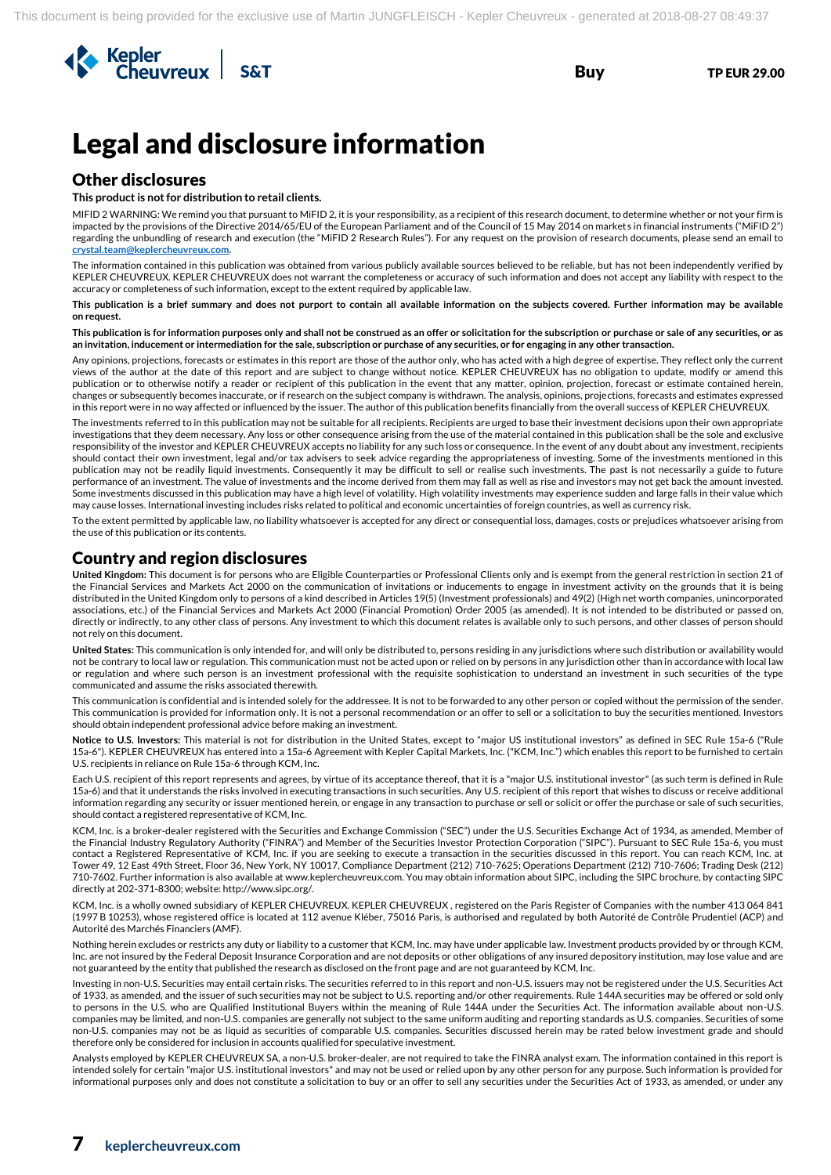

# Legal and disclosure information

# Other disclosures

**This product is not for distribution to retail clients.**

MIFID 2 WARNING: We remind you that pursuant to MiFID 2, it is your responsibility, as a recipient of this research document, to determine whether or not your firm is impacted by the provisions of the Directive 2014/65/EU of the European Parliament and of the Council of 15 May 2014 on markets in financial instruments ("MiFID 2") regarding the unbundling of research and execution (the "MiFID 2 Research Rules"). For any request on the provision of research documents, please send an email to **[crystal.team@keplercheuvreux.com.](mailto:crystal.team@keplercheuvreux.com)**

The information contained in this publication was obtained from various publicly available sources believed to be reliable, but has not been independently verified by KEPLER CHEUVREUX. KEPLER CHEUVREUX does not warrant the completeness or accuracy of such information and does not accept any liability with respect to the accuracy or completeness of such information, except to the extent required by applicable law.

**This publication is a brief summary and does not purport to contain all available information on the subjects covered. Further information may be available on request.**

**This publication is for information purposes only and shall not be construed as an offer or solicitation for the subscription or purchase or sale of any securities, or as an invitation, inducement or intermediation for the sale, subscription or purchase of any securities, or for engaging in any other transaction.**

Any opinions, projections, forecasts or estimates in this report are those of the author only, who has acted with a high degree of expertise. They reflect only the current views of the author at the date of this report and are subject to change without notice. KEPLER CHEUVREUX has no obligation to update, modify or amend this publication or to otherwise notify a reader or recipient of this publication in the event that any matter, opinion, projection, forecast or estimate contained herein, changes or subsequently becomes inaccurate, or if research on the subject company is withdrawn. The analysis, opinions, projections, forecasts and estimates expressed in this report were in no way affected or influenced by the issuer. The author of this publication benefits financially from the overall success of KEPLER CHEUVREUX.

The investments referred to in this publication may not be suitable for all recipients. Recipients are urged to base their investment decisions upon their own appropriate investigations that they deem necessary. Any loss or other consequence arising from the use of the material contained in this publication shall be the sole and exclusive responsibility of the investor and KEPLER CHEUVREUX accepts no liability for any such loss or consequence. In the event of any doubt about any investment, recipients should contact their own investment, legal and/or tax advisers to seek advice regarding the appropriateness of investing. Some of the investments mentioned in this publication may not be readily liquid investments. Consequently it may be difficult to sell or realise such investments. The past is not necessarily a guide to future performance of an investment. The value of investments and the income derived from them may fall as well as rise and investors may not get back the amount invested. Some investments discussed in this publication may have a high level of volatility. High volatility investments may experience sudden and large falls in their value which may cause losses. International investing includes risks related to political and economic uncertainties of foreign countries, as well as currency risk.

To the extent permitted by applicable law, no liability whatsoever is accepted for any direct or consequential loss, damages, costs or prejudices whatsoever arising from the use of this publication or its contents.

# Country and region disclosures

**United Kingdom:** This document is for persons who are Eligible Counterparties or Professional Clients only and is exempt from the general restriction in section 21 of the Financial Services and Markets Act 2000 on the communication of invitations or inducements to engage in investment activity on the grounds that it is being distributed in the United Kingdom only to persons of a kind described in Articles 19(5) (Investment professionals) and 49(2) (High net worth companies, unincorporated associations, etc.) of the Financial Services and Markets Act 2000 (Financial Promotion) Order 2005 (as amended). It is not intended to be distributed or passed on, directly or indirectly, to any other class of persons. Any investment to which this document relates is available only to such persons, and other classes of person should not rely on this document.

**United States:** This communication is only intended for, and will only be distributed to, persons residing in any jurisdictions where such distribution or availability would not be contrary to local law or regulation. This communication must not be acted upon or relied on by persons in any jurisdiction other than in accordance with local law or regulation and where such person is an investment professional with the requisite sophistication to understand an investment in such securities of the type communicated and assume the risks associated therewith.

This communication is confidential and is intended solely for the addressee. It is not to be forwarded to any other person or copied without the permission of the sender. This communication is provided for information only. It is not a personal recommendation or an offer to sell or a solicitation to buy the securities mentioned. Investors should obtain independent professional advice before making an investment.

**Notice to U.S. Investors:** This material is not for distribution in the United States, except to "major US institutional investors" as defined in SEC Rule 15a-6 ("Rule 15a-6"). KEPLER CHEUVREUX has entered into a 15a-6 Agreement with Kepler Capital Markets, Inc. ("KCM, Inc.") which enables this report to be furnished to certain U.S. recipients in reliance on Rule 15a-6 through KCM, Inc.

Each U.S. recipient of this report represents and agrees, by virtue of its acceptance thereof, that it is a "major U.S. institutional investor" (as such term is defined in Rule 15a-6) and that it understands the risks involved in executing transactions in such securities. Any U.S. recipient of this report that wishes to discuss or receive additional information regarding any security or issuer mentioned herein, or engage in any transaction to purchase or sell or solicit or offer the purchase or sale of such securities, should contact a registered representative of KCM, Inc.

KCM, Inc. is a broker-dealer registered with the Securities and Exchange Commission ("SEC") under the U.S. Securities Exchange Act of 1934, as amended, Member of the Financial Industry Regulatory Authority ("FINRA") and Member of the Securities Investor Protection Corporation ("SIPC"). Pursuant to SEC Rule 15a-6, you must contact a Registered Representative of KCM, Inc. if you are seeking to execute a transaction in the securities discussed in this report. You can reach KCM, Inc. at Tower 49, 12 East 49th Street, Floor 36, New York, NY 10017, Compliance Department (212) 710-7625; Operations Department (212) 710-7606; Trading Desk (212) 710-7602. Further information is also available at www.keplercheuvreux.com. You may obtain information about SIPC, including the SIPC brochure, by contacting SIPC directly at 202-371-8300; website: http://www.sipc.org/.

KCM, Inc. is a wholly owned subsidiary of KEPLER CHEUVREUX. KEPLER CHEUVREUX , registered on the Paris Register of Companies with the number 413 064 841 (1997 B 10253), whose registered office is located at 112 avenue Kléber, 75016 Paris, is authorised and regulated by both Autorité de Contrôle Prudentiel (ACP) and Autorité des Marchés Financiers (AMF).

Nothing herein excludes or restricts any duty or liability to a customer that KCM, Inc. may have under applicable law. Investment products provided by or through KCM, Inc. are not insured by the Federal Deposit Insurance Corporation and are not deposits or other obligations of any insured depository institution, may lose value and are not guaranteed by the entity that published the research as disclosed on the front page and are not guaranteed by KCM, Inc.

Investing in non-U.S. Securities may entail certain risks. The securities referred to in this report and non-U.S. issuers may not be registered under the U.S. Securities Act of 1933, as amended, and the issuer of such securities may not be subject to U.S. reporting and/or other requirements. Rule 144A securities may be offered or sold only to persons in the U.S. who are Qualified Institutional Buyers within the meaning of Rule 144A under the Securities Act. The information available about non-U.S. companies may be limited, and non-U.S. companies are generally not subject to the same uniform auditing and reporting standards as U.S. companies. Securities of some non-U.S. companies may not be as liquid as securities of comparable U.S. companies. Securities discussed herein may be rated below investment grade and should therefore only be considered for inclusion in accounts qualified for speculative investment.

Analysts employed by KEPLER CHEUVREUX SA, a non-U.S. broker-dealer, are not required to take the FINRA analyst exam. The information contained in this report is intended solely for certain "major U.S. institutional investors" and may not be used or relied upon by any other person for any purpose. Such information is provided for informational purposes only and does not constitute a solicitation to buy or an offer to sell any securities under the Securities Act of 1933, as amended, or under any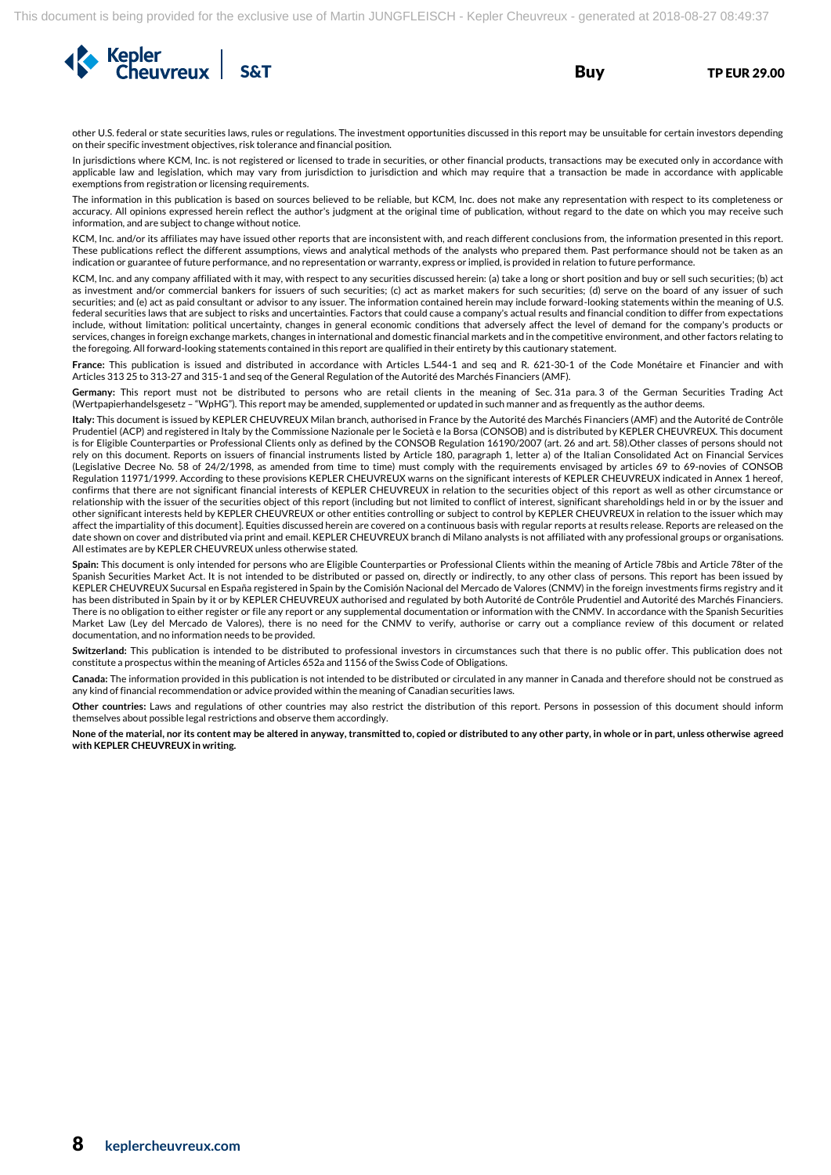

other U.S. federal or state securities laws, rules or regulations. The investment opportunities discussed in this report may be unsuitable for certain investors depending on their specific investment objectives, risk tolerance and financial position.

In jurisdictions where KCM, Inc. is not registered or licensed to trade in securities, or other financial products, transactions may be executed only in accordance with applicable law and legislation, which may vary from jurisdiction to jurisdiction and which may require that a transaction be made in accordance with applicable exemptions from registration or licensing requirements.

The information in this publication is based on sources believed to be reliable, but KCM, Inc. does not make any representation with respect to its completeness or accuracy. All opinions expressed herein reflect the author's judgment at the original time of publication, without regard to the date on which you may receive such information, and are subject to change without notice.

KCM, Inc. and/or its affiliates may have issued other reports that are inconsistent with, and reach different conclusions from, the information presented in this report. These publications reflect the different assumptions, views and analytical methods of the analysts who prepared them. Past performance should not be taken as an indication or guarantee of future performance, and no representation or warranty, express or implied, is provided in relation to future performance.

KCM, Inc. and any company affiliated with it may, with respect to any securities discussed herein: (a) take a long or short position and buy or sell such securities; (b) act as investment and/or commercial bankers for issuers of such securities; (c) act as market makers for such securities; (d) serve on the board of any issuer of such securities; and (e) act as paid consultant or advisor to any issuer. The information contained herein may include forward-looking statements within the meaning of U.S. federal securities laws that are subject to risks and uncertainties. Factors that could cause a company's actual results and financial condition to differ from expectations include, without limitation: political uncertainty, changes in general economic conditions that adversely affect the level of demand for the company's products or services, changes in foreign exchange markets, changes in international and domestic financial markets and in the competitive environment, and other factors relating to the foregoing. All forward-looking statements contained in this report are qualified in their entirety by this cautionary statement.

**France:** This publication is issued and distributed in accordance with Articles L.544-1 and seq and R. 621-30-1 of the Code Monétaire et Financier and with Articles 313 25 to 313-27 and 315-1 and seq of the General Regulation of the Autorité des Marchés Financiers (AMF).

**Germany:** This report must not be distributed to persons who are retail clients in the meaning of Sec. 31a para. 3 of the German Securities Trading Act (Wertpapierhandelsgesetz – "WpHG"). This report may be amended, supplemented or updated in such manner and as frequently as the author deems.

**Italy:** This document is issued by KEPLER CHEUVREUX Milan branch, authorised in France by the Autorité des Marchés Financiers (AMF) and the Autorité de Contrôle Prudentiel (ACP) and registered in Italy by the Commissione Nazionale per le Società e la Borsa (CONSOB) and is distributed by KEPLER CHEUVREUX. This document is for Eligible Counterparties or Professional Clients only as defined by the CONSOB Regulation 16190/2007 (art. 26 and art. 58).Other classes of persons should not rely on this document. Reports on issuers of financial instruments listed by Article 180, paragraph 1, letter a) of the Italian Consolidated Act on Financial Services (Legislative Decree No. 58 of 24/2/1998, as amended from time to time) must comply with the requirements envisaged by articles 69 to 69-novies of CONSOB Regulation 11971/1999. According to these provisions KEPLER CHEUVREUX warns on the significant interests of KEPLER CHEUVREUX indicated in Annex 1 hereof, confirms that there are not significant financial interests of KEPLER CHEUVREUX in relation to the securities object of this report as well as other circumstance or relationship with the issuer of the securities object of this report (including but not limited to conflict of interest, significant shareholdings held in or by the issuer and other significant interests held by KEPLER CHEUVREUX or other entities controlling or subject to control by KEPLER CHEUVREUX in relation to the issuer which may affect the impartiality of this document]. Equities discussed herein are covered on a continuous basis with regular reports at results release. Reports are released on the date shown on cover and distributed via print and email. KEPLER CHEUVREUX branch di Milano analysts is not affiliated with any professional groups or organisations. All estimates are by KEPLER CHEUVREUX unless otherwise stated.

**Spain:** This document is only intended for persons who are Eligible Counterparties or Professional Clients within the meaning of Article 78bis and Article 78ter of the Spanish Securities Market Act. It is not intended to be distributed or passed on, directly or indirectly, to any other class of persons. This report has been issued by KEPLER CHEUVREUX Sucursal en España registered in Spain by the Comisión Nacional del Mercado de Valores (CNMV) in the foreign investments firms registry and it has been distributed in Spain by it or by KEPLER CHEUVREUX authorised and regulated by both Autorité de Contrôle Prudentiel and Autorité des Marchés Financiers. There is no obligation to either register or file any report or any supplemental documentation or information with the CNMV. In accordance with the Spanish Securities Market Law (Ley del Mercado de Valores), there is no need for the CNMV to verify, authorise or carry out a compliance review of this document or related documentation, and no information needs to be provided.

**Switzerland:** This publication is intended to be distributed to professional investors in circumstances such that there is no public offer. This publication does not constitute a prospectus within the meaning of Articles 652a and 1156 of the Swiss Code of Obligations.

**Canada:** The information provided in this publication is not intended to be distributed or circulated in any manner in Canada and therefore should not be construed as any kind of financial recommendation or advice provided within the meaning of Canadian securities laws.

**Other countries:** Laws and regulations of other countries may also restrict the distribution of this report. Persons in possession of this document should inform themselves about possible legal restrictions and observe them accordingly.

**None of the material, nor its content may be altered in anyway, transmitted to, copied or distributed to any other party, in whole or in part, unless otherwise agreed with KEPLER CHEUVREUX in writing.**